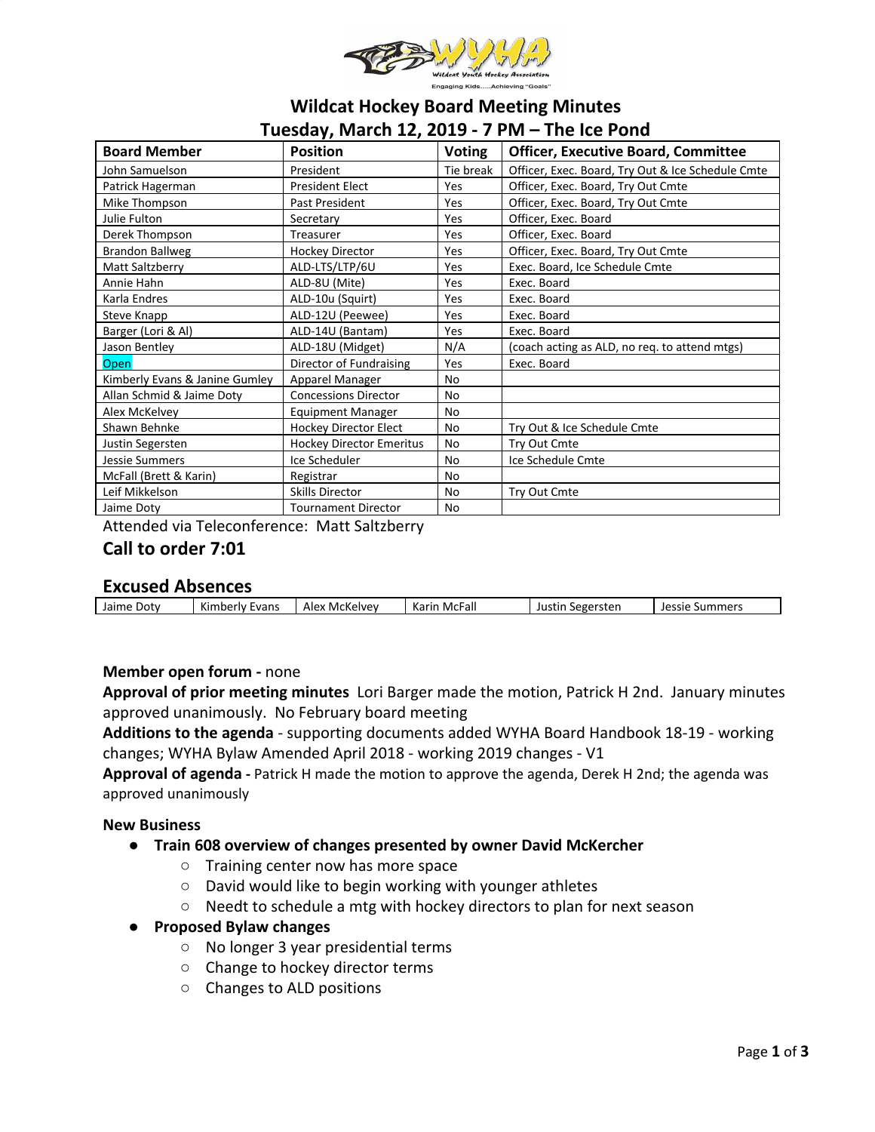

# **Wildcat Hockey Board Meeting Minutes Tuesday, March 12, 2019 - 7 PM – The Ice Pond**

| <b>Board Member</b>            | <b>Position</b>                 | <b>Voting</b> | <b>Officer, Executive Board, Committee</b>        |  |  |  |
|--------------------------------|---------------------------------|---------------|---------------------------------------------------|--|--|--|
| John Samuelson                 | President                       | Tie break     | Officer, Exec. Board, Try Out & Ice Schedule Cmte |  |  |  |
| Patrick Hagerman               | <b>President Elect</b>          | Yes           | Officer, Exec. Board, Try Out Cmte                |  |  |  |
| Mike Thompson                  | Past President                  | Yes           | Officer, Exec. Board, Try Out Cmte                |  |  |  |
| Julie Fulton                   | Secretary                       | Yes           | Officer, Exec. Board                              |  |  |  |
| Derek Thompson                 | Treasurer                       | Yes           | Officer, Exec. Board                              |  |  |  |
| <b>Brandon Ballweg</b>         | <b>Hockey Director</b>          | Yes           | Officer, Exec. Board, Try Out Cmte                |  |  |  |
| Matt Saltzberry                | ALD-LTS/LTP/6U                  | Yes           | Exec. Board, Ice Schedule Cmte                    |  |  |  |
| Annie Hahn                     | ALD-8U (Mite)                   | Yes           | Exec. Board                                       |  |  |  |
| Karla Endres                   | ALD-10u (Squirt)                | Yes           | Exec. Board                                       |  |  |  |
| Steve Knapp                    | ALD-12U (Peewee)                | Yes           | Exec. Board                                       |  |  |  |
| Barger (Lori & Al)             | ALD-14U (Bantam)                | Yes           | Exec. Board                                       |  |  |  |
| Jason Bentley                  | ALD-18U (Midget)                | N/A           | (coach acting as ALD, no req. to attend mtgs)     |  |  |  |
| <b>Open</b>                    | Director of Fundraising         | Yes           | Exec. Board                                       |  |  |  |
| Kimberly Evans & Janine Gumley | Apparel Manager                 | No            |                                                   |  |  |  |
| Allan Schmid & Jaime Doty      | <b>Concessions Director</b>     | No            |                                                   |  |  |  |
| Alex McKelvey                  | <b>Equipment Manager</b>        | No            |                                                   |  |  |  |
| Shawn Behnke                   | <b>Hockey Director Elect</b>    | No            | Try Out & Ice Schedule Cmte                       |  |  |  |
| Justin Segersten               | <b>Hockey Director Emeritus</b> | No            | Try Out Cmte                                      |  |  |  |
| <b>Jessie Summers</b>          | Ice Scheduler                   | <b>No</b>     | Ice Schedule Cmte                                 |  |  |  |
| McFall (Brett & Karin)         | Registrar                       | <b>No</b>     |                                                   |  |  |  |
| Leif Mikkelson                 | <b>Skills Director</b>          | No            | Try Out Cmte                                      |  |  |  |
| Jaime Doty                     | <b>Tournament Director</b>      | No            |                                                   |  |  |  |

Attended via Teleconference: Matt Saltzberry

# **Call to order 7:01**

# **Excused Absences**

| Jaime Doty | Kimberly Evans | Alex McKelvey | Karin McFall | Segersten<br>Justin | Jessie<br>: Summers |
|------------|----------------|---------------|--------------|---------------------|---------------------|
|            |                |               |              |                     |                     |

# **Member open forum -** none

**Approval of prior meeting minutes** Lori Barger made the motion, Patrick H 2nd. January minutes approved unanimously. No February board meeting

**Additions to the agenda** - supporting documents added WYHA Board Handbook 18-19 - working changes; WYHA Bylaw Amended April 2018 - working 2019 changes - V1

**Approval of agenda -** Patrick H made the motion to approve the agenda, Derek H 2nd; the agenda was approved unanimously

## **New Business**

- **● Train 608 overview of changes presented by owner David McKercher**
	- Training center now has more space
	- David would like to begin working with younger athletes
	- Needt to schedule a mtg with hockey directors to plan for next season
- **● Proposed Bylaw changes**
	- No longer 3 year presidential terms
	- Change to hockey director terms
	- Changes to ALD positions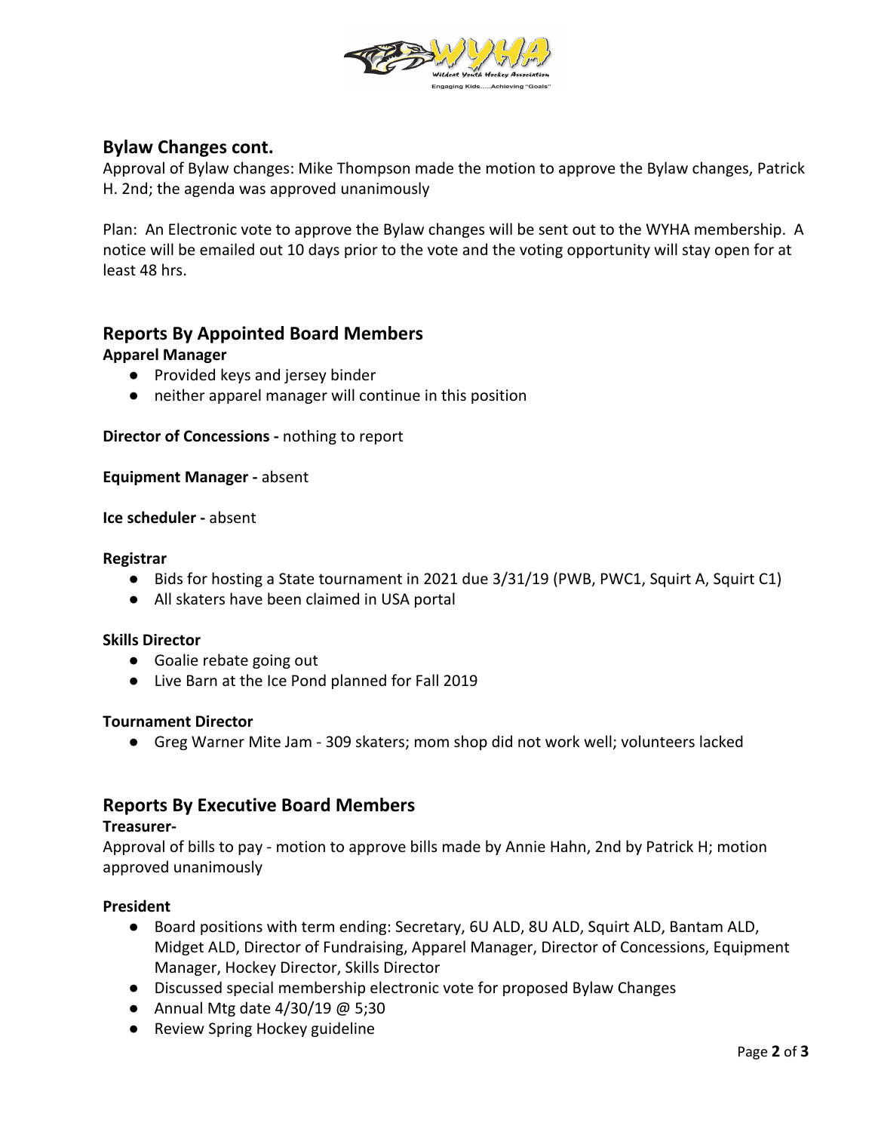

# **Bylaw Changes cont.**

Approval of Bylaw changes: Mike Thompson made the motion to approve the Bylaw changes, Patrick H. 2nd; the agenda was approved unanimously

Plan: An Electronic vote to approve the Bylaw changes will be sent out to the WYHA membership. A notice will be emailed out 10 days prior to the vote and the voting opportunity will stay open for at least 48 hrs.

# **Reports By Appointed Board Members**

## **Apparel Manager**

- Provided keys and jersey binder
- neither apparel manager will continue in this position

**Director of Concessions -** nothing to report

**Equipment Manager -** absent

**Ice scheduler -** absent

### **Registrar**

- Bids for hosting a State tournament in 2021 due 3/31/19 (PWB, PWC1, Squirt A, Squirt C1)
- All skaters have been claimed in USA portal

### **Skills Director**

- Goalie rebate going out
- Live Barn at the Ice Pond planned for Fall 2019

### **Tournament Director**

**●** Greg Warner Mite Jam - 309 skaters; mom shop did not work well; volunteers lacked

# **Reports By Executive Board Members**

#### **Treasurer-**

Approval of bills to pay - motion to approve bills made by Annie Hahn, 2nd by Patrick H; motion approved unanimously

### **President**

- Board positions with term ending: Secretary, 6U ALD, 8U ALD, Squirt ALD, Bantam ALD, Midget ALD, Director of Fundraising, Apparel Manager, Director of Concessions, Equipment Manager, Hockey Director, Skills Director
- Discussed special membership electronic vote for proposed Bylaw Changes
- Annual Mtg date  $4/30/19$  @ 5;30
- Review Spring Hockey guideline